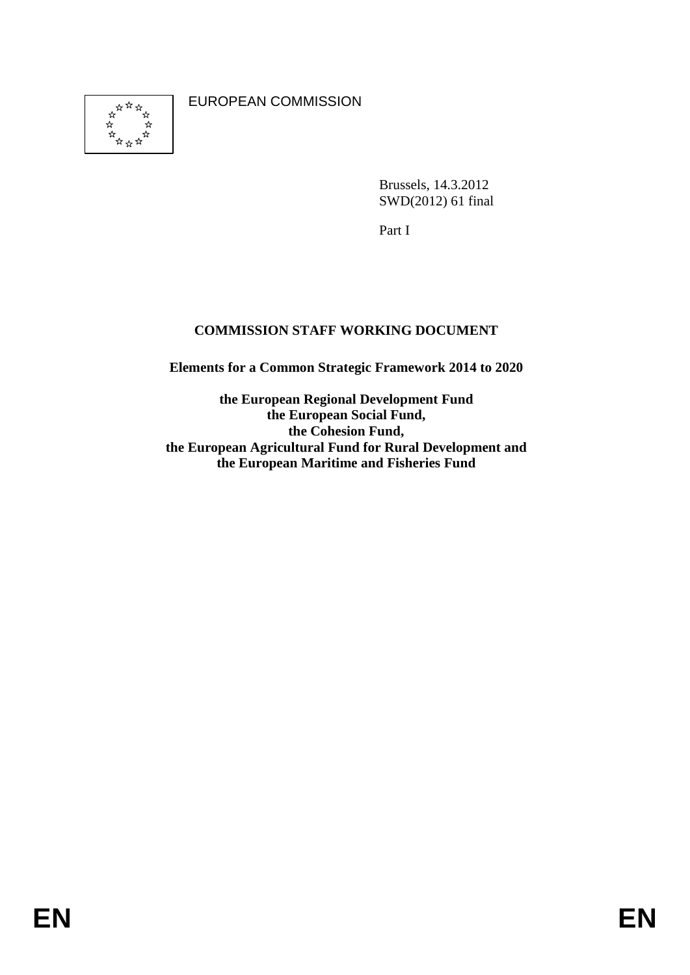EUROPEAN COMMISSION

Brussels, 14.3.2012 SWD(2012) 61 final

Part I

# **COMMISSION STAFF WORKING DOCUMENT**

**Elements for a Common Strategic Framework 2014 to 2020** 

**the European Regional Development Fund the European Social Fund, the Cohesion Fund, the European Agricultural Fund for Rural Development and the European Maritime and Fisheries Fund**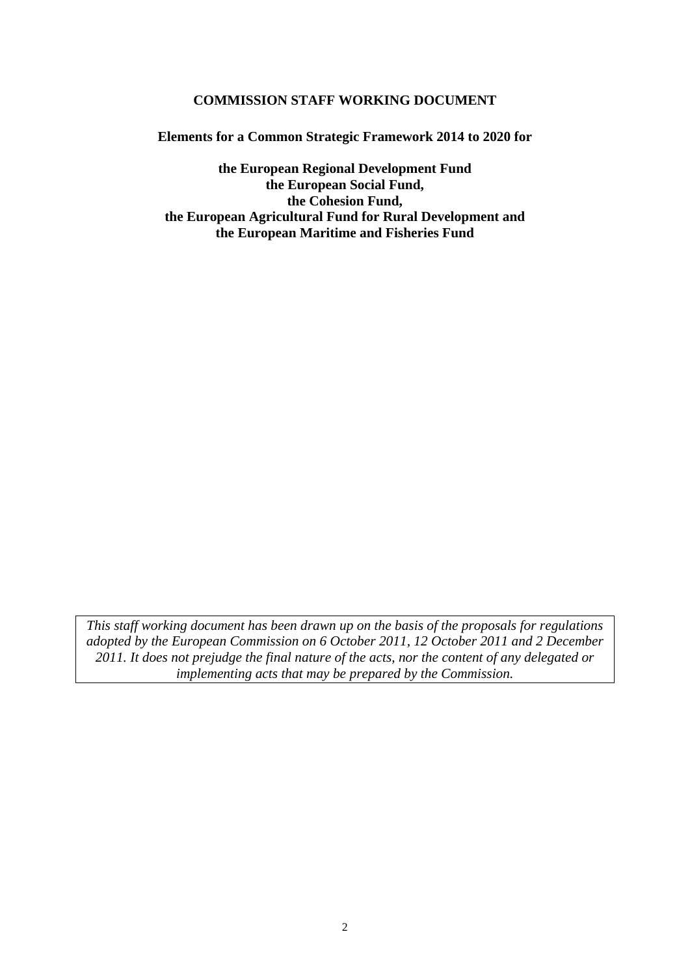## **COMMISSION STAFF WORKING DOCUMENT**

**Elements for a Common Strategic Framework 2014 to 2020 for** 

**the European Regional Development Fund the European Social Fund, the Cohesion Fund, the European Agricultural Fund for Rural Development and the European Maritime and Fisheries Fund** 

*This staff working document has been drawn up on the basis of the proposals for regulations adopted by the European Commission on 6 October 2011, 12 October 2011 and 2 December 2011. It does not prejudge the final nature of the acts, nor the content of any delegated or implementing acts that may be prepared by the Commission.*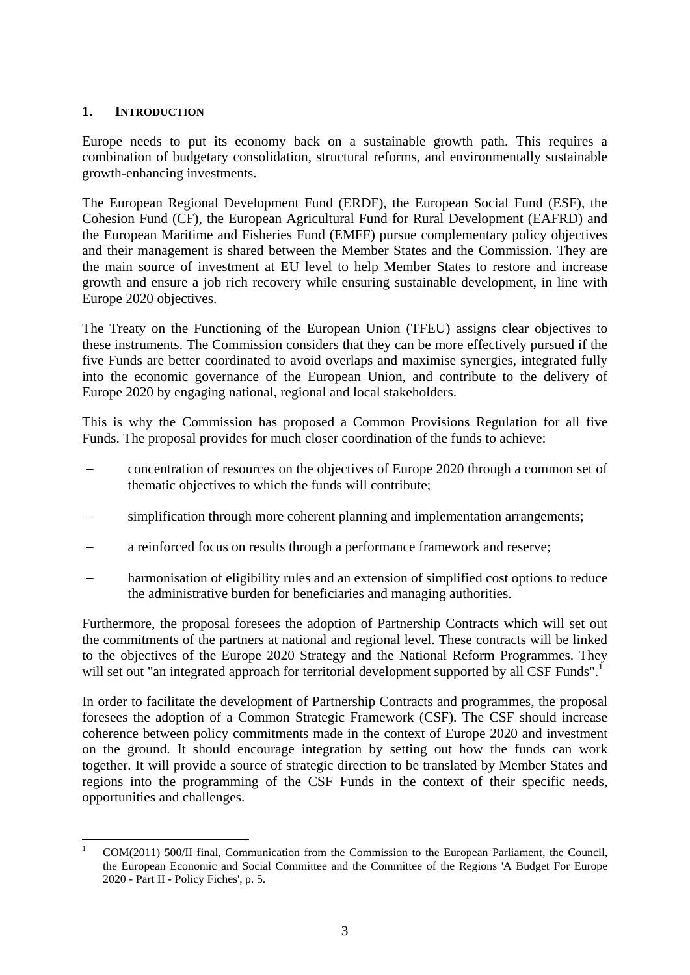# **1. INTRODUCTION**

Europe needs to put its economy back on a sustainable growth path. This requires a combination of budgetary consolidation, structural reforms, and environmentally sustainable growth-enhancing investments.

The European Regional Development Fund (ERDF), the European Social Fund (ESF), the Cohesion Fund (CF), the European Agricultural Fund for Rural Development (EAFRD) and the European Maritime and Fisheries Fund (EMFF) pursue complementary policy objectives and their management is shared between the Member States and the Commission. They are the main source of investment at EU level to help Member States to restore and increase growth and ensure a job rich recovery while ensuring sustainable development, in line with Europe 2020 objectives.

The Treaty on the Functioning of the European Union (TFEU) assigns clear objectives to these instruments. The Commission considers that they can be more effectively pursued if the five Funds are better coordinated to avoid overlaps and maximise synergies, integrated fully into the economic governance of the European Union, and contribute to the delivery of Europe 2020 by engaging national, regional and local stakeholders.

This is why the Commission has proposed a Common Provisions Regulation for all five Funds. The proposal provides for much closer coordination of the funds to achieve:

- concentration of resources on the objectives of Europe 2020 through a common set of thematic objectives to which the funds will contribute;
- simplification through more coherent planning and implementation arrangements;
- a reinforced focus on results through a performance framework and reserve;
- harmonisation of eligibility rules and an extension of simplified cost options to reduce the administrative burden for beneficiaries and managing authorities.

Furthermore, the proposal foresees the adoption of Partnership Contracts which will set out the commitments of the partners at national and regional level. These contracts will be linked to the objectives of the Europe 2020 Strategy and the National Reform Programmes. They will set out "an integrated approach for territorial development supported by all CSF Funds".

In order to facilitate the development of Partnership Contracts and programmes, the proposal foresees the adoption of a Common Strategic Framework (CSF). The CSF should increase coherence between policy commitments made in the context of Europe 2020 and investment on the ground. It should encourage integration by setting out how the funds can work together. It will provide a source of strategic direction to be translated by Member States and regions into the programming of the CSF Funds in the context of their specific needs, opportunities and challenges.

<sup>1</sup> 1 COM(2011) 500/II final, Communication from the Commission to the European Parliament, the Council, the European Economic and Social Committee and the Committee of the Regions 'A Budget For Europe 2020 - Part II - Policy Fiches', p. 5.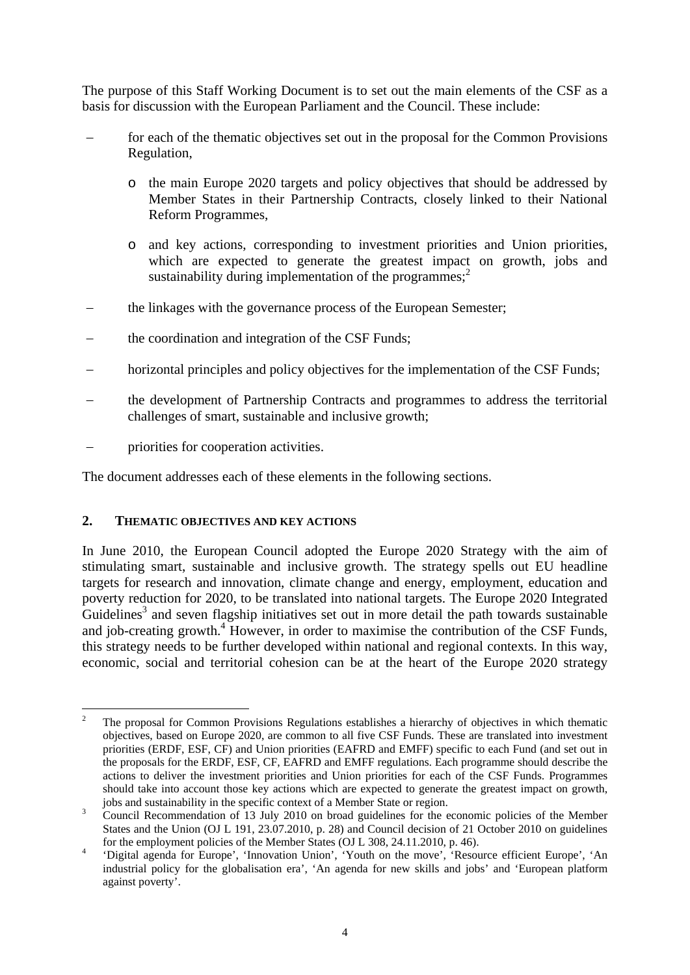The purpose of this Staff Working Document is to set out the main elements of the CSF as a basis for discussion with the European Parliament and the Council. These include:

- for each of the thematic objectives set out in the proposal for the Common Provisions Regulation,
	- o the main Europe 2020 targets and policy objectives that should be addressed by Member States in their Partnership Contracts, closely linked to their National Reform Programmes,
	- o and key actions, corresponding to investment priorities and Union priorities, which are expected to generate the greatest impact on growth, jobs and sustainability during implementation of the programmes; $<sup>2</sup>$ </sup>
- the linkages with the governance process of the European Semester;
- the coordination and integration of the CSF Funds;
- horizontal principles and policy objectives for the implementation of the CSF Funds;
- − the development of Partnership Contracts and programmes to address the territorial challenges of smart, sustainable and inclusive growth;
- priorities for cooperation activities.

The document addresses each of these elements in the following sections.

## **2. THEMATIC OBJECTIVES AND KEY ACTIONS**

In June 2010, the European Council adopted the Europe 2020 Strategy with the aim of stimulating smart, sustainable and inclusive growth. The strategy spells out EU headline targets for research and innovation, climate change and energy, employment, education and poverty reduction for 2020, to be translated into national targets. The Europe 2020 Integrated Guidelines<sup>3</sup> and seven flagship initiatives set out in more detail the path towards sustainable and job-creating growth.<sup>4</sup> However, in order to maximise the contribution of the CSF Funds, this strategy needs to be further developed within national and regional contexts. In this way, economic, social and territorial cohesion can be at the heart of the Europe 2020 strategy

 $\frac{1}{2}$  The proposal for Common Provisions Regulations establishes a hierarchy of objectives in which thematic objectives, based on Europe 2020, are common to all five CSF Funds. These are translated into investment priorities (ERDF, ESF, CF) and Union priorities (EAFRD and EMFF) specific to each Fund (and set out in the proposals for the ERDF, ESF, CF, EAFRD and EMFF regulations. Each programme should describe the actions to deliver the investment priorities and Union priorities for each of the CSF Funds. Programmes should take into account those key actions which are expected to generate the greatest impact on growth, jobs and sustainability in the specific context of a Member State or region.

Council Recommendation of 13 July 2010 on broad guidelines for the economic policies of the Member States and the Union (OJ L 191, 23.07.2010, p. 28) and Council decision of 21 October 2010 on guidelines for the employment policies of the Member States (OJ L 308, 24.11.2010, p. 46).

 <sup>&#</sup>x27;Digital agenda for Europe', 'Innovation Union', 'Youth on the move', 'Resource efficient Europe', 'An industrial policy for the globalisation era', 'An agenda for new skills and jobs' and 'European platform against poverty'.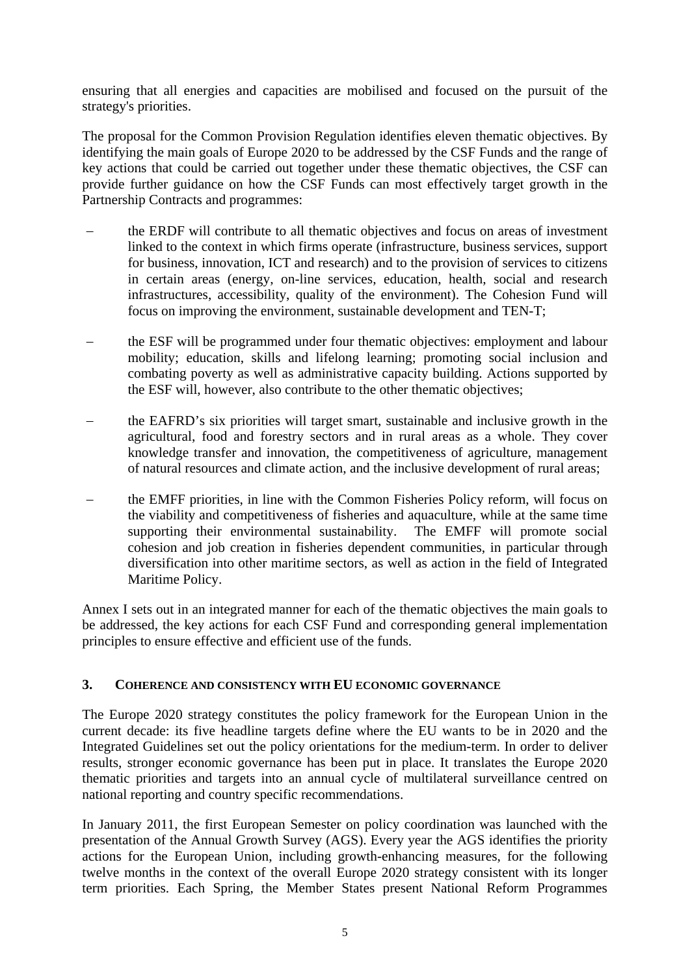ensuring that all energies and capacities are mobilised and focused on the pursuit of the strategy's priorities.

The proposal for the Common Provision Regulation identifies eleven thematic objectives. By identifying the main goals of Europe 2020 to be addressed by the CSF Funds and the range of key actions that could be carried out together under these thematic objectives, the CSF can provide further guidance on how the CSF Funds can most effectively target growth in the Partnership Contracts and programmes:

- the ERDF will contribute to all thematic objectives and focus on areas of investment linked to the context in which firms operate (infrastructure, business services, support for business, innovation, ICT and research) and to the provision of services to citizens in certain areas (energy, on-line services, education, health, social and research infrastructures, accessibility, quality of the environment). The Cohesion Fund will focus on improving the environment, sustainable development and TEN-T;
- the ESF will be programmed under four thematic objectives: employment and labour mobility; education, skills and lifelong learning; promoting social inclusion and combating poverty as well as administrative capacity building. Actions supported by the ESF will, however, also contribute to the other thematic objectives;
- the EAFRD's six priorities will target smart, sustainable and inclusive growth in the agricultural, food and forestry sectors and in rural areas as a whole. They cover knowledge transfer and innovation, the competitiveness of agriculture, management of natural resources and climate action, and the inclusive development of rural areas;
- the EMFF priorities, in line with the Common Fisheries Policy reform, will focus on the viability and competitiveness of fisheries and aquaculture, while at the same time supporting their environmental sustainability. The EMFF will promote social cohesion and job creation in fisheries dependent communities, in particular through diversification into other maritime sectors, as well as action in the field of Integrated Maritime Policy.

Annex I sets out in an integrated manner for each of the thematic objectives the main goals to be addressed, the key actions for each CSF Fund and corresponding general implementation principles to ensure effective and efficient use of the funds.

# **3. COHERENCE AND CONSISTENCY WITH EU ECONOMIC GOVERNANCE**

The Europe 2020 strategy constitutes the policy framework for the European Union in the current decade: its five headline targets define where the EU wants to be in 2020 and the Integrated Guidelines set out the policy orientations for the medium-term. In order to deliver results, stronger economic governance has been put in place. It translates the Europe 2020 thematic priorities and targets into an annual cycle of multilateral surveillance centred on national reporting and country specific recommendations.

In January 2011, the first European Semester on policy coordination was launched with the presentation of the Annual Growth Survey (AGS). Every year the AGS identifies the priority actions for the European Union, including growth-enhancing measures, for the following twelve months in the context of the overall Europe 2020 strategy consistent with its longer term priorities. Each Spring, the Member States present National Reform Programmes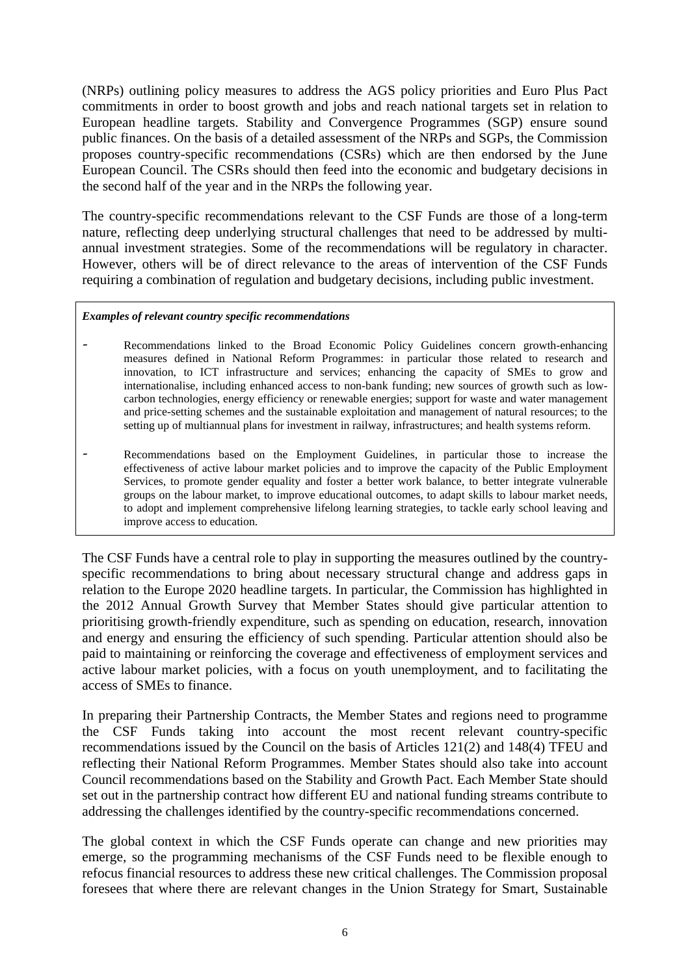(NRPs) outlining policy measures to address the AGS policy priorities and Euro Plus Pact commitments in order to boost growth and jobs and reach national targets set in relation to European headline targets. Stability and Convergence Programmes (SGP) ensure sound public finances. On the basis of a detailed assessment of the NRPs and SGPs, the Commission proposes country-specific recommendations (CSRs) which are then endorsed by the June European Council. The CSRs should then feed into the economic and budgetary decisions in the second half of the year and in the NRPs the following year.

The country-specific recommendations relevant to the CSF Funds are those of a long-term nature, reflecting deep underlying structural challenges that need to be addressed by multiannual investment strategies. Some of the recommendations will be regulatory in character. However, others will be of direct relevance to the areas of intervention of the CSF Funds requiring a combination of regulation and budgetary decisions, including public investment.

### *Examples of relevant country specific recommendations*

- Recommendations linked to the Broad Economic Policy Guidelines concern growth-enhancing measures defined in National Reform Programmes: in particular those related to research and innovation, to ICT infrastructure and services; enhancing the capacity of SMEs to grow and internationalise, including enhanced access to non-bank funding; new sources of growth such as lowcarbon technologies, energy efficiency or renewable energies; support for waste and water management and price-setting schemes and the sustainable exploitation and management of natural resources; to the setting up of multiannual plans for investment in railway, infrastructures; and health systems reform.
- Recommendations based on the Employment Guidelines, in particular those to increase the effectiveness of active labour market policies and to improve the capacity of the Public Employment Services, to promote gender equality and foster a better work balance, to better integrate vulnerable groups on the labour market, to improve educational outcomes, to adapt skills to labour market needs, to adopt and implement comprehensive lifelong learning strategies, to tackle early school leaving and improve access to education.

The CSF Funds have a central role to play in supporting the measures outlined by the countryspecific recommendations to bring about necessary structural change and address gaps in relation to the Europe 2020 headline targets. In particular, the Commission has highlighted in the 2012 Annual Growth Survey that Member States should give particular attention to prioritising growth-friendly expenditure, such as spending on education, research, innovation and energy and ensuring the efficiency of such spending. Particular attention should also be paid to maintaining or reinforcing the coverage and effectiveness of employment services and active labour market policies, with a focus on youth unemployment, and to facilitating the access of SMEs to finance.

In preparing their Partnership Contracts, the Member States and regions need to programme the CSF Funds taking into account the most recent relevant country-specific recommendations issued by the Council on the basis of Articles 121(2) and 148(4) TFEU and reflecting their National Reform Programmes. Member States should also take into account Council recommendations based on the Stability and Growth Pact. Each Member State should set out in the partnership contract how different EU and national funding streams contribute to addressing the challenges identified by the country-specific recommendations concerned.

The global context in which the CSF Funds operate can change and new priorities may emerge, so the programming mechanisms of the CSF Funds need to be flexible enough to refocus financial resources to address these new critical challenges. The Commission proposal foresees that where there are relevant changes in the Union Strategy for Smart, Sustainable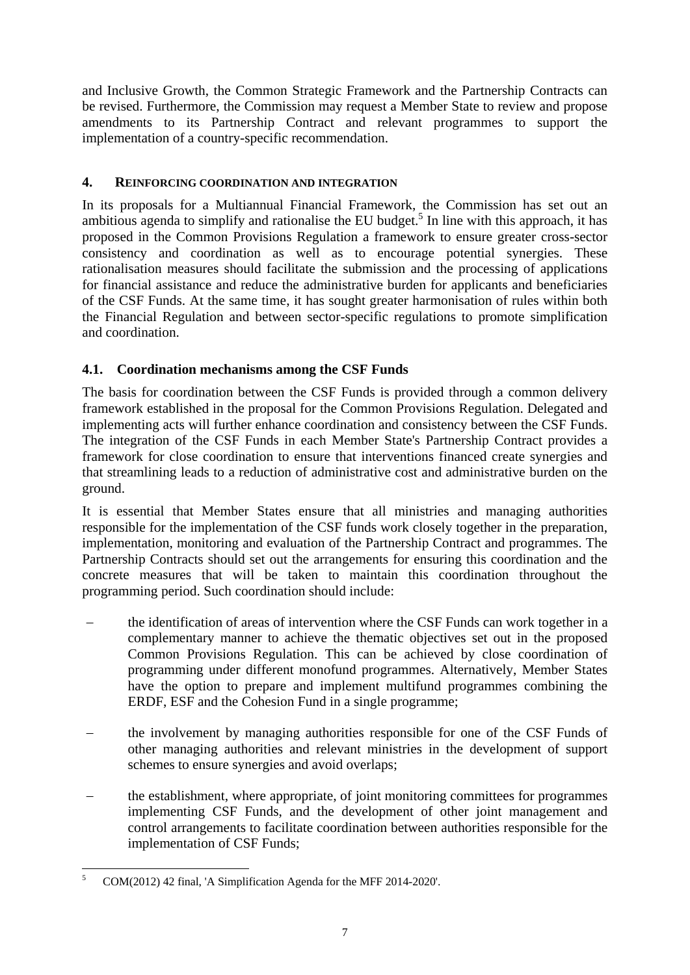and Inclusive Growth, the Common Strategic Framework and the Partnership Contracts can be revised. Furthermore, the Commission may request a Member State to review and propose amendments to its Partnership Contract and relevant programmes to support the implementation of a country-specific recommendation.

# **4. REINFORCING COORDINATION AND INTEGRATION**

In its proposals for a Multiannual Financial Framework, the Commission has set out an ambitious agenda to simplify and rationalise the EU budget.<sup>5</sup> In line with this approach, it has proposed in the Common Provisions Regulation a framework to ensure greater cross-sector consistency and coordination as well as to encourage potential synergies. These rationalisation measures should facilitate the submission and the processing of applications for financial assistance and reduce the administrative burden for applicants and beneficiaries of the CSF Funds. At the same time, it has sought greater harmonisation of rules within both the Financial Regulation and between sector-specific regulations to promote simplification and coordination.

# **4.1. Coordination mechanisms among the CSF Funds**

The basis for coordination between the CSF Funds is provided through a common delivery framework established in the proposal for the Common Provisions Regulation. Delegated and implementing acts will further enhance coordination and consistency between the CSF Funds. The integration of the CSF Funds in each Member State's Partnership Contract provides a framework for close coordination to ensure that interventions financed create synergies and that streamlining leads to a reduction of administrative cost and administrative burden on the ground.

It is essential that Member States ensure that all ministries and managing authorities responsible for the implementation of the CSF funds work closely together in the preparation, implementation, monitoring and evaluation of the Partnership Contract and programmes. The Partnership Contracts should set out the arrangements for ensuring this coordination and the concrete measures that will be taken to maintain this coordination throughout the programming period. Such coordination should include:

- the identification of areas of intervention where the CSF Funds can work together in a complementary manner to achieve the thematic objectives set out in the proposed Common Provisions Regulation. This can be achieved by close coordination of programming under different monofund programmes. Alternatively, Member States have the option to prepare and implement multifund programmes combining the ERDF, ESF and the Cohesion Fund in a single programme;
- the involvement by managing authorities responsible for one of the CSF Funds of other managing authorities and relevant ministries in the development of support schemes to ensure synergies and avoid overlaps;
- the establishment, where appropriate, of joint monitoring committees for programmes implementing CSF Funds, and the development of other joint management and control arrangements to facilitate coordination between authorities responsible for the implementation of CSF Funds;

<sup>&</sup>lt;u>.</u> 5 COM(2012) 42 final, 'A Simplification Agenda for the MFF 2014-2020'.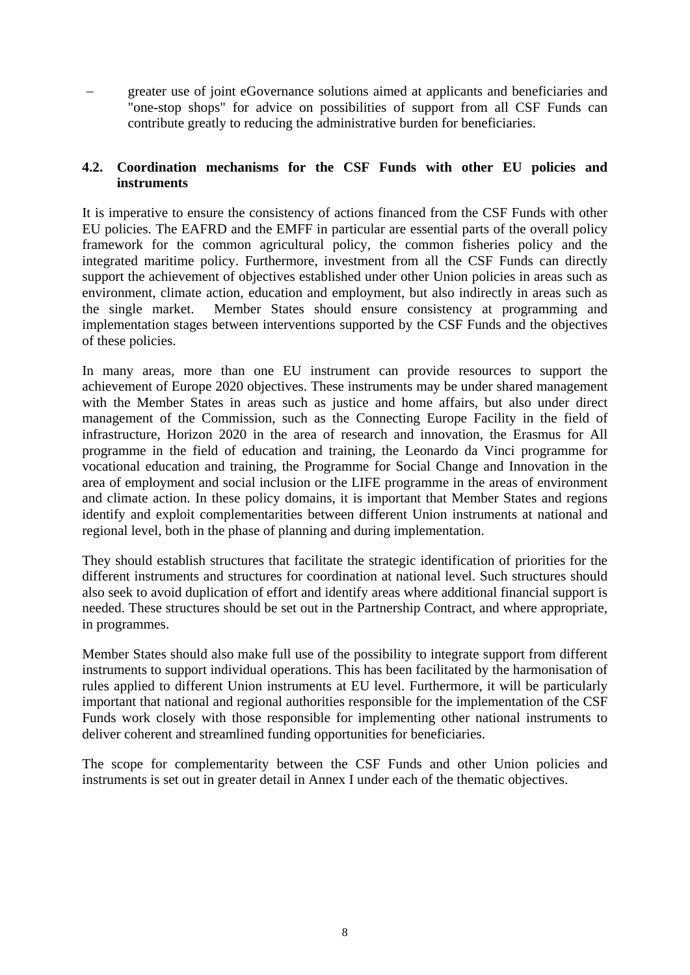greater use of joint eGovernance solutions aimed at applicants and beneficiaries and "one-stop shops" for advice on possibilities of support from all CSF Funds can contribute greatly to reducing the administrative burden for beneficiaries.

# **4.2. Coordination mechanisms for the CSF Funds with other EU policies and instruments**

It is imperative to ensure the consistency of actions financed from the CSF Funds with other EU policies. The EAFRD and the EMFF in particular are essential parts of the overall policy framework for the common agricultural policy, the common fisheries policy and the integrated maritime policy. Furthermore, investment from all the CSF Funds can directly support the achievement of objectives established under other Union policies in areas such as environment, climate action, education and employment, but also indirectly in areas such as the single market. Member States should ensure consistency at programming and implementation stages between interventions supported by the CSF Funds and the objectives of these policies.

In many areas, more than one EU instrument can provide resources to support the achievement of Europe 2020 objectives. These instruments may be under shared management with the Member States in areas such as justice and home affairs, but also under direct management of the Commission, such as the Connecting Europe Facility in the field of infrastructure, Horizon 2020 in the area of research and innovation, the Erasmus for All programme in the field of education and training, the Leonardo da Vinci programme for vocational education and training, the Programme for Social Change and Innovation in the area of employment and social inclusion or the LIFE programme in the areas of environment and climate action. In these policy domains, it is important that Member States and regions identify and exploit complementarities between different Union instruments at national and regional level, both in the phase of planning and during implementation.

They should establish structures that facilitate the strategic identification of priorities for the different instruments and structures for coordination at national level. Such structures should also seek to avoid duplication of effort and identify areas where additional financial support is needed. These structures should be set out in the Partnership Contract, and where appropriate, in programmes.

Member States should also make full use of the possibility to integrate support from different instruments to support individual operations. This has been facilitated by the harmonisation of rules applied to different Union instruments at EU level. Furthermore, it will be particularly important that national and regional authorities responsible for the implementation of the CSF Funds work closely with those responsible for implementing other national instruments to deliver coherent and streamlined funding opportunities for beneficiaries.

The scope for complementarity between the CSF Funds and other Union policies and instruments is set out in greater detail in Annex I under each of the thematic objectives.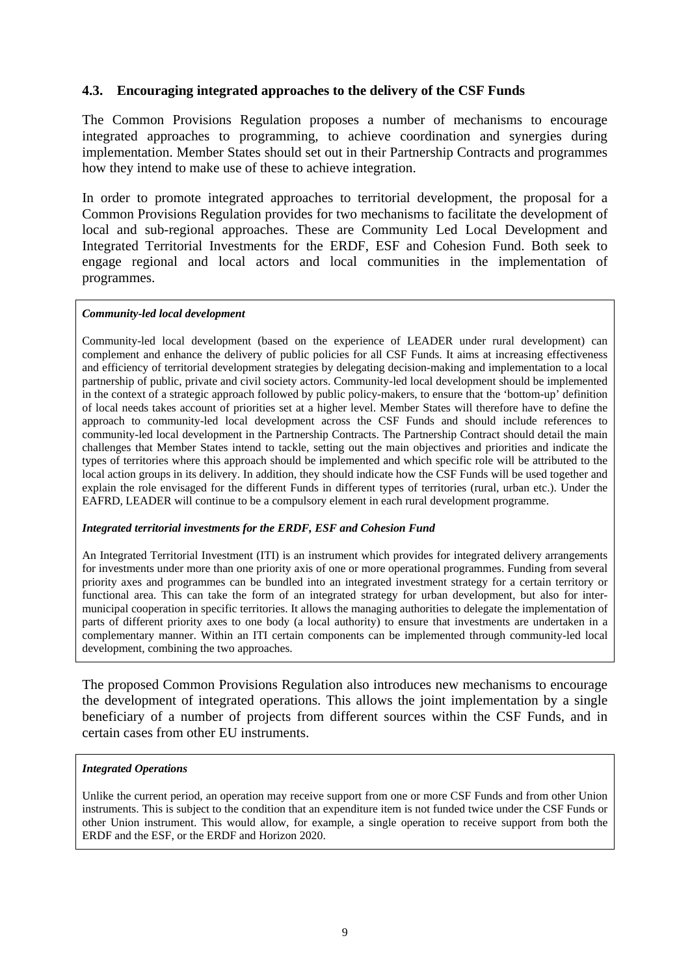# **4.3. Encouraging integrated approaches to the delivery of the CSF Funds**

The Common Provisions Regulation proposes a number of mechanisms to encourage integrated approaches to programming, to achieve coordination and synergies during implementation. Member States should set out in their Partnership Contracts and programmes how they intend to make use of these to achieve integration.

In order to promote integrated approaches to territorial development, the proposal for a Common Provisions Regulation provides for two mechanisms to facilitate the development of local and sub-regional approaches. These are Community Led Local Development and Integrated Territorial Investments for the ERDF, ESF and Cohesion Fund. Both seek to engage regional and local actors and local communities in the implementation of programmes.

#### *Community-led local development*

Community-led local development (based on the experience of LEADER under rural development) can complement and enhance the delivery of public policies for all CSF Funds. It aims at increasing effectiveness and efficiency of territorial development strategies by delegating decision-making and implementation to a local partnership of public, private and civil society actors. Community-led local development should be implemented in the context of a strategic approach followed by public policy-makers, to ensure that the 'bottom-up' definition of local needs takes account of priorities set at a higher level. Member States will therefore have to define the approach to community-led local development across the CSF Funds and should include references to community-led local development in the Partnership Contracts. The Partnership Contract should detail the main challenges that Member States intend to tackle, setting out the main objectives and priorities and indicate the types of territories where this approach should be implemented and which specific role will be attributed to the local action groups in its delivery. In addition, they should indicate how the CSF Funds will be used together and explain the role envisaged for the different Funds in different types of territories (rural, urban etc.). Under the EAFRD, LEADER will continue to be a compulsory element in each rural development programme.

#### *Integrated territorial investments for the ERDF, ESF and Cohesion Fund*

An Integrated Territorial Investment (ITI) is an instrument which provides for integrated delivery arrangements for investments under more than one priority axis of one or more operational programmes. Funding from several priority axes and programmes can be bundled into an integrated investment strategy for a certain territory or functional area. This can take the form of an integrated strategy for urban development, but also for intermunicipal cooperation in specific territories. It allows the managing authorities to delegate the implementation of parts of different priority axes to one body (a local authority) to ensure that investments are undertaken in a complementary manner. Within an ITI certain components can be implemented through community-led local development, combining the two approaches.

The proposed Common Provisions Regulation also introduces new mechanisms to encourage the development of integrated operations. This allows the joint implementation by a single beneficiary of a number of projects from different sources within the CSF Funds, and in certain cases from other EU instruments.

#### *Integrated Operations*

Unlike the current period, an operation may receive support from one or more CSF Funds and from other Union instruments. This is subject to the condition that an expenditure item is not funded twice under the CSF Funds or other Union instrument. This would allow, for example, a single operation to receive support from both the ERDF and the ESF, or the ERDF and Horizon 2020.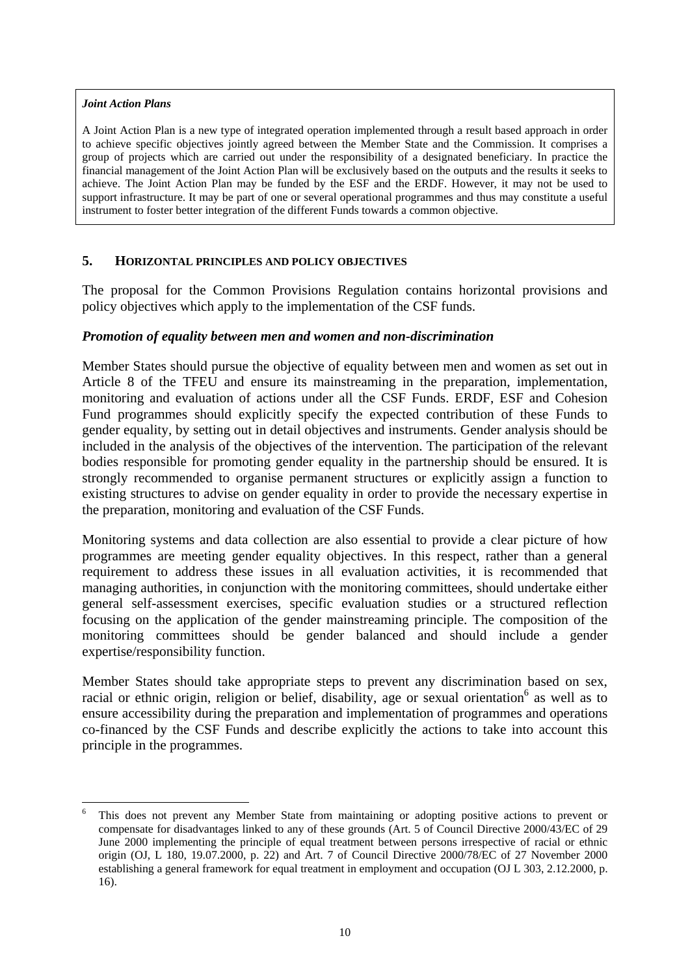#### *Joint Action Plans*

1

A Joint Action Plan is a new type of integrated operation implemented through a result based approach in order to achieve specific objectives jointly agreed between the Member State and the Commission. It comprises a group of projects which are carried out under the responsibility of a designated beneficiary. In practice the financial management of the Joint Action Plan will be exclusively based on the outputs and the results it seeks to achieve. The Joint Action Plan may be funded by the ESF and the ERDF. However, it may not be used to support infrastructure. It may be part of one or several operational programmes and thus may constitute a useful instrument to foster better integration of the different Funds towards a common objective.

### **5. HORIZONTAL PRINCIPLES AND POLICY OBJECTIVES**

The proposal for the Common Provisions Regulation contains horizontal provisions and policy objectives which apply to the implementation of the CSF funds.

## *Promotion of equality between men and women and non-discrimination*

Member States should pursue the objective of equality between men and women as set out in Article 8 of the TFEU and ensure its mainstreaming in the preparation, implementation, monitoring and evaluation of actions under all the CSF Funds. ERDF, ESF and Cohesion Fund programmes should explicitly specify the expected contribution of these Funds to gender equality, by setting out in detail objectives and instruments. Gender analysis should be included in the analysis of the objectives of the intervention. The participation of the relevant bodies responsible for promoting gender equality in the partnership should be ensured. It is strongly recommended to organise permanent structures or explicitly assign a function to existing structures to advise on gender equality in order to provide the necessary expertise in the preparation, monitoring and evaluation of the CSF Funds.

Monitoring systems and data collection are also essential to provide a clear picture of how programmes are meeting gender equality objectives. In this respect, rather than a general requirement to address these issues in all evaluation activities, it is recommended that managing authorities, in conjunction with the monitoring committees, should undertake either general self-assessment exercises, specific evaluation studies or a structured reflection focusing on the application of the gender mainstreaming principle. The composition of the monitoring committees should be gender balanced and should include a gender expertise/responsibility function.

Member States should take appropriate steps to prevent any discrimination based on sex, racial or ethnic origin, religion or belief, disability, age or sexual orientation<sup>6</sup> as well as to ensure accessibility during the preparation and implementation of programmes and operations co-financed by the CSF Funds and describe explicitly the actions to take into account this principle in the programmes.

<sup>6</sup> This does not prevent any Member State from maintaining or adopting positive actions to prevent or compensate for disadvantages linked to any of these grounds (Art. 5 of Council Directive 2000/43/EC of 29 June 2000 implementing the principle of equal treatment between persons irrespective of racial or ethnic origin (OJ, L 180, 19.07.2000, p. 22) and Art. 7 of Council Directive 2000/78/EC of 27 November 2000 establishing a general framework for equal treatment in employment and occupation (OJ L 303, 2.12.2000, p. 16).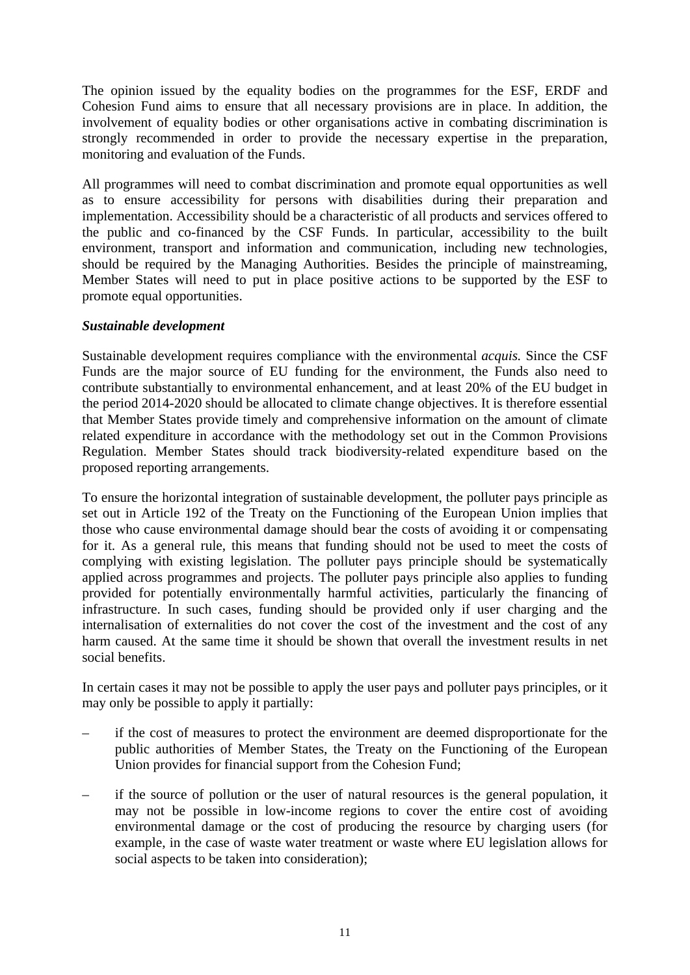The opinion issued by the equality bodies on the programmes for the ESF, ERDF and Cohesion Fund aims to ensure that all necessary provisions are in place. In addition, the involvement of equality bodies or other organisations active in combating discrimination is strongly recommended in order to provide the necessary expertise in the preparation, monitoring and evaluation of the Funds.

All programmes will need to combat discrimination and promote equal opportunities as well as to ensure accessibility for persons with disabilities during their preparation and implementation. Accessibility should be a characteristic of all products and services offered to the public and co-financed by the CSF Funds. In particular, accessibility to the built environment, transport and information and communication, including new technologies, should be required by the Managing Authorities. Besides the principle of mainstreaming, Member States will need to put in place positive actions to be supported by the ESF to promote equal opportunities.

## *Sustainable development*

Sustainable development requires compliance with the environmental *acquis.* Since the CSF Funds are the major source of EU funding for the environment, the Funds also need to contribute substantially to environmental enhancement, and at least 20% of the EU budget in the period 2014-2020 should be allocated to climate change objectives. It is therefore essential that Member States provide timely and comprehensive information on the amount of climate related expenditure in accordance with the methodology set out in the Common Provisions Regulation. Member States should track biodiversity-related expenditure based on the proposed reporting arrangements.

To ensure the horizontal integration of sustainable development, the polluter pays principle as set out in Article 192 of the Treaty on the Functioning of the European Union implies that those who cause environmental damage should bear the costs of avoiding it or compensating for it. As a general rule, this means that funding should not be used to meet the costs of complying with existing legislation. The polluter pays principle should be systematically applied across programmes and projects. The polluter pays principle also applies to funding provided for potentially environmentally harmful activities, particularly the financing of infrastructure. In such cases, funding should be provided only if user charging and the internalisation of externalities do not cover the cost of the investment and the cost of any harm caused. At the same time it should be shown that overall the investment results in net social benefits.

In certain cases it may not be possible to apply the user pays and polluter pays principles, or it may only be possible to apply it partially:

- if the cost of measures to protect the environment are deemed disproportionate for the public authorities of Member States, the Treaty on the Functioning of the European Union provides for financial support from the Cohesion Fund;
- if the source of pollution or the user of natural resources is the general population, it may not be possible in low-income regions to cover the entire cost of avoiding environmental damage or the cost of producing the resource by charging users (for example, in the case of waste water treatment or waste where EU legislation allows for social aspects to be taken into consideration);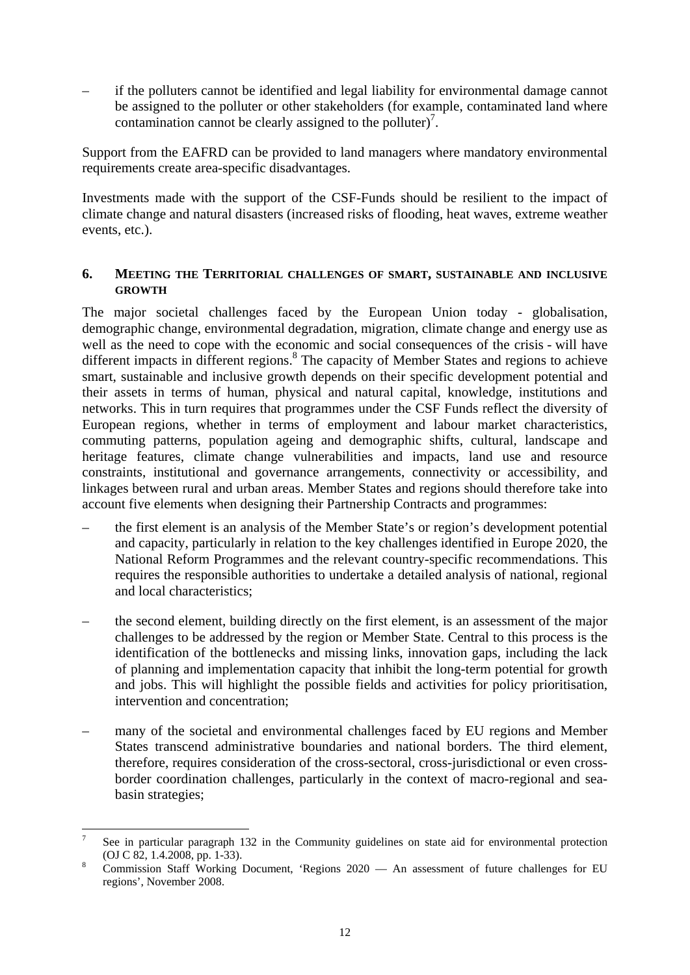– if the polluters cannot be identified and legal liability for environmental damage cannot be assigned to the polluter or other stakeholders (for example, contaminated land where contamination cannot be clearly assigned to the polluter)<sup>7</sup>.

Support from the EAFRD can be provided to land managers where mandatory environmental requirements create area-specific disadvantages.

Investments made with the support of the CSF-Funds should be resilient to the impact of climate change and natural disasters (increased risks of flooding, heat waves, extreme weather events, etc.).

## **6. MEETING THE TERRITORIAL CHALLENGES OF SMART, SUSTAINABLE AND INCLUSIVE GROWTH**

The major societal challenges faced by the European Union today - globalisation, demographic change, environmental degradation, migration, climate change and energy use as well as the need to cope with the economic and social consequences of the crisis - will have different impacts in different regions.<sup>8</sup> The capacity of Member States and regions to achieve smart, sustainable and inclusive growth depends on their specific development potential and their assets in terms of human, physical and natural capital, knowledge, institutions and networks. This in turn requires that programmes under the CSF Funds reflect the diversity of European regions, whether in terms of employment and labour market characteristics, commuting patterns, population ageing and demographic shifts, cultural, landscape and heritage features, climate change vulnerabilities and impacts, land use and resource constraints, institutional and governance arrangements, connectivity or accessibility, and linkages between rural and urban areas. Member States and regions should therefore take into account five elements when designing their Partnership Contracts and programmes:

- the first element is an analysis of the Member State's or region's development potential and capacity, particularly in relation to the key challenges identified in Europe 2020, the National Reform Programmes and the relevant country-specific recommendations. This requires the responsible authorities to undertake a detailed analysis of national, regional and local characteristics;
- the second element, building directly on the first element, is an assessment of the major challenges to be addressed by the region or Member State. Central to this process is the identification of the bottlenecks and missing links, innovation gaps, including the lack of planning and implementation capacity that inhibit the long-term potential for growth and jobs. This will highlight the possible fields and activities for policy prioritisation, intervention and concentration;
- many of the societal and environmental challenges faced by EU regions and Member States transcend administrative boundaries and national borders. The third element, therefore, requires consideration of the cross-sectoral, cross-jurisdictional or even crossborder coordination challenges, particularly in the context of macro-regional and seabasin strategies;

<u>.</u>

<sup>7</sup> See in particular paragraph 132 in the Community guidelines on state aid for environmental protection (OJ C 82, 1.4.2008, pp. 1-33). 8

Commission Staff Working Document, 'Regions 2020 — An assessment of future challenges for EU regions', November 2008.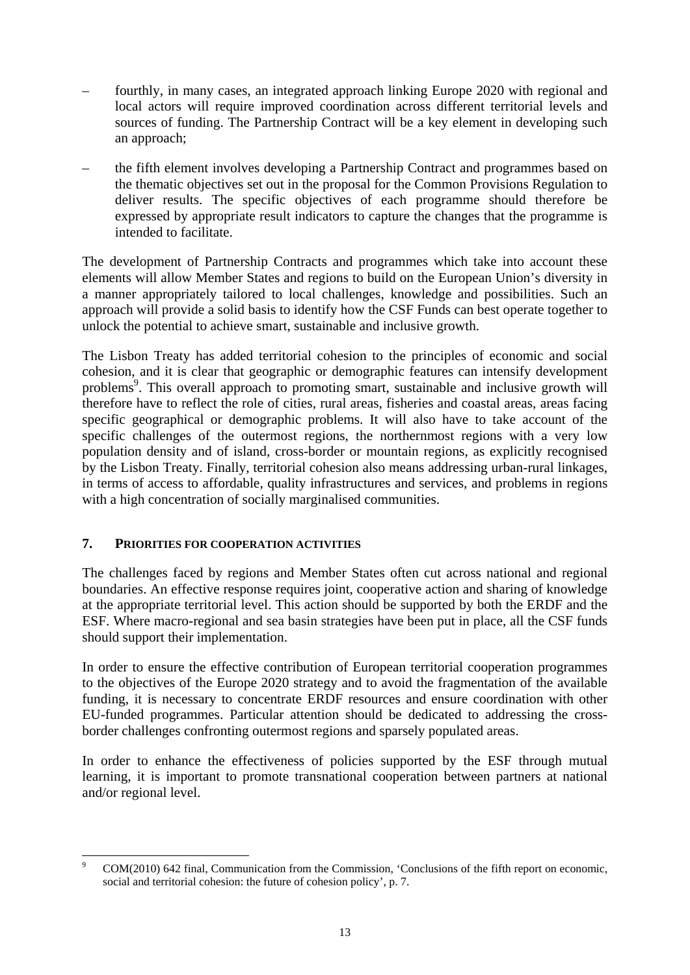- fourthly, in many cases, an integrated approach linking Europe 2020 with regional and local actors will require improved coordination across different territorial levels and sources of funding. The Partnership Contract will be a key element in developing such an approach;
- the fifth element involves developing a Partnership Contract and programmes based on the thematic objectives set out in the proposal for the Common Provisions Regulation to deliver results. The specific objectives of each programme should therefore be expressed by appropriate result indicators to capture the changes that the programme is intended to facilitate.

The development of Partnership Contracts and programmes which take into account these elements will allow Member States and regions to build on the European Union's diversity in a manner appropriately tailored to local challenges, knowledge and possibilities. Such an approach will provide a solid basis to identify how the CSF Funds can best operate together to unlock the potential to achieve smart, sustainable and inclusive growth.

The Lisbon Treaty has added territorial cohesion to the principles of economic and social cohesion, and it is clear that geographic or demographic features can intensify development problems<sup>9</sup>. This overall approach to promoting smart, sustainable and inclusive growth will therefore have to reflect the role of cities, rural areas, fisheries and coastal areas, areas facing specific geographical or demographic problems. It will also have to take account of the specific challenges of the outermost regions, the northernmost regions with a very low population density and of island, cross-border or mountain regions, as explicitly recognised by the Lisbon Treaty. Finally, territorial cohesion also means addressing urban-rural linkages, in terms of access to affordable, quality infrastructures and services, and problems in regions with a high concentration of socially marginalised communities.

# **7. PRIORITIES FOR COOPERATION ACTIVITIES**

The challenges faced by regions and Member States often cut across national and regional boundaries. An effective response requires joint, cooperative action and sharing of knowledge at the appropriate territorial level. This action should be supported by both the ERDF and the ESF. Where macro-regional and sea basin strategies have been put in place, all the CSF funds should support their implementation.

In order to ensure the effective contribution of European territorial cooperation programmes to the objectives of the Europe 2020 strategy and to avoid the fragmentation of the available funding, it is necessary to concentrate ERDF resources and ensure coordination with other EU-funded programmes. Particular attention should be dedicated to addressing the crossborder challenges confronting outermost regions and sparsely populated areas.

In order to enhance the effectiveness of policies supported by the ESF through mutual learning, it is important to promote transnational cooperation between partners at national and/or regional level.

<sup>1</sup> 9 COM(2010) 642 final, Communication from the Commission, 'Conclusions of the fifth report on economic, social and territorial cohesion: the future of cohesion policy', p. 7.